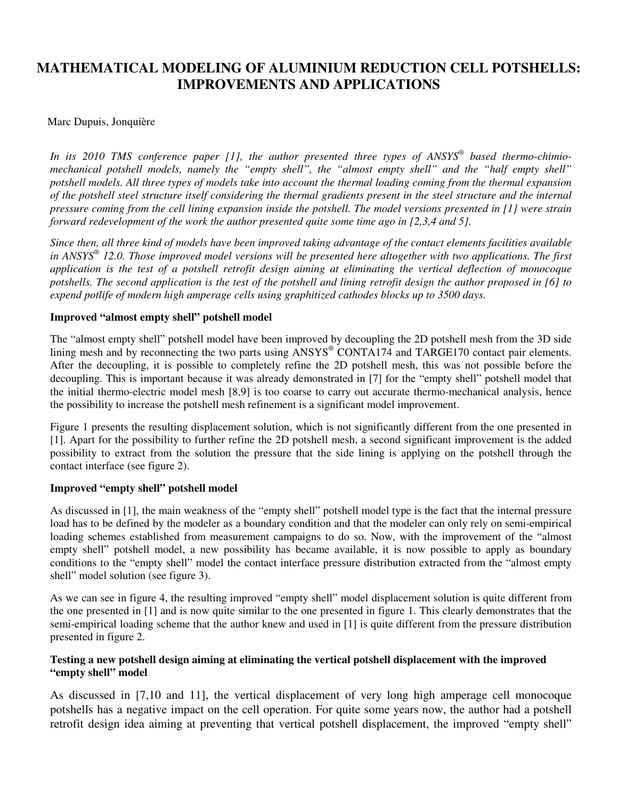# **MATHEMATICAL MODELING OF ALUMINIUM REDUCTION CELL POTSHELLS: IMPROVEMENTS AND APPLICATIONS**

## Marc Dupuis, Jonquière

*In its 2010 TMS conference paper [1], the author presented three types of ANSYS® based thermo-chimiomechanical potshell models, namely the "empty shell", the "almost empty shell" and the "half empty shell" potshell models. All three types of models take into account the thermal loading coming from the thermal expansion of the potshell steel structure itself considering the thermal gradients present in the steel structure and the internal pressure coming from the cell lining expansion inside the potshell. The model versions presented in [1] were strain forward redevelopment of the work the author presented quite some time ago in [2,3,4 and 5].* 

*Since then, all three kind of models have been improved taking advantage of the contact elements facilities available in ANSYS® 12.0. Those improved model versions will be presented here altogether with two applications. The first application is the test of a potshell retrofit design aiming at eliminating the vertical deflection of monocoque potshells. The second application is the test of the potshell and lining retrofit design the author proposed in [6] to expend potlife of modern high amperage cells using graphitized cathodes blocks up to 3500 days.* 

### **Improved "almost empty shell" potshell model**

The "almost empty shell" potshell model have been improved by decoupling the 2D potshell mesh from the 3D side lining mesh and by reconnecting the two parts using ANSYS® CONTA174 and TARGE170 contact pair elements. After the decoupling, it is possible to completely refine the 2D potshell mesh, this was not possible before the decoupling. This is important because it was already demonstrated in [7] for the "empty shell" potshell model that the initial thermo-electric model mesh [8,9] is too coarse to carry out accurate thermo-mechanical analysis, hence the possibility to increase the potshell mesh refinement is a significant model improvement.

Figure 1 presents the resulting displacement solution, which is not significantly different from the one presented in [1]. Apart for the possibility to further refine the 2D potshell mesh, a second significant improvement is the added possibility to extract from the solution the pressure that the side lining is applying on the potshell through the contact interface (see figure 2).

#### **Improved "empty shell" potshell model**

As discussed in [1], the main weakness of the "empty shell" potshell model type is the fact that the internal pressure load has to be defined by the modeler as a boundary condition and that the modeler can only rely on semi-empirical loading schemes established from measurement campaigns to do so. Now, with the improvement of the "almost empty shell" potshell model, a new possibility has became available, it is now possible to apply as boundary conditions to the "empty shell" model the contact interface pressure distribution extracted from the "almost empty shell" model solution (see figure 3).

As we can see in figure 4, the resulting improved "empty shell" model displacement solution is quite different from the one presented in [1] and is now quite similar to the one presented in figure 1. This clearly demonstrates that the semi-empirical loading scheme that the author knew and used in [1] is quite different from the pressure distribution presented in figure 2.

## **Testing a new potshell design aiming at eliminating the vertical potshell displacement with the improved "empty shell" model**

As discussed in [7,10 and 11], the vertical displacement of very long high amperage cell monocoque potshells has a negative impact on the cell operation. For quite some years now, the author had a potshell retrofit design idea aiming at preventing that vertical potshell displacement, the improved "empty shell"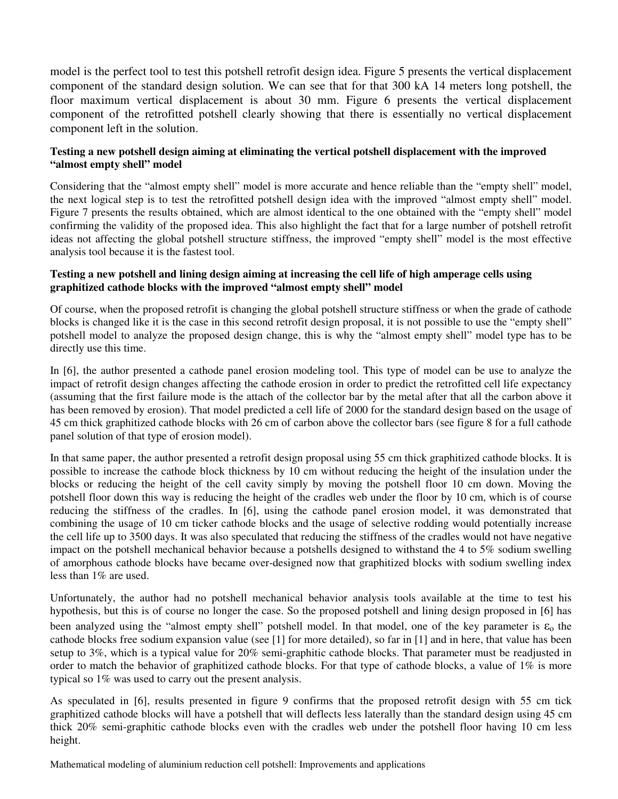model is the perfect tool to test this potshell retrofit design idea. Figure 5 presents the vertical displacement component of the standard design solution. We can see that for that 300 kA 14 meters long potshell, the floor maximum vertical displacement is about 30 mm. Figure 6 presents the vertical displacement component of the retrofitted potshell clearly showing that there is essentially no vertical displacement component left in the solution.

### **Testing a new potshell design aiming at eliminating the vertical potshell displacement with the improved "almost empty shell" model**

Considering that the "almost empty shell" model is more accurate and hence reliable than the "empty shell" model, the next logical step is to test the retrofitted potshell design idea with the improved "almost empty shell" model. Figure 7 presents the results obtained, which are almost identical to the one obtained with the "empty shell" model confirming the validity of the proposed idea. This also highlight the fact that for a large number of potshell retrofit ideas not affecting the global potshell structure stiffness, the improved "empty shell" model is the most effective analysis tool because it is the fastest tool.

#### **Testing a new potshell and lining design aiming at increasing the cell life of high amperage cells using graphitized cathode blocks with the improved "almost empty shell" model**

Of course, when the proposed retrofit is changing the global potshell structure stiffness or when the grade of cathode blocks is changed like it is the case in this second retrofit design proposal, it is not possible to use the "empty shell" potshell model to analyze the proposed design change, this is why the "almost empty shell" model type has to be directly use this time.

In [6], the author presented a cathode panel erosion modeling tool. This type of model can be use to analyze the impact of retrofit design changes affecting the cathode erosion in order to predict the retrofitted cell life expectancy (assuming that the first failure mode is the attach of the collector bar by the metal after that all the carbon above it has been removed by erosion). That model predicted a cell life of 2000 for the standard design based on the usage of 45 cm thick graphitized cathode blocks with 26 cm of carbon above the collector bars (see figure 8 for a full cathode panel solution of that type of erosion model).

In that same paper, the author presented a retrofit design proposal using 55 cm thick graphitized cathode blocks. It is possible to increase the cathode block thickness by 10 cm without reducing the height of the insulation under the blocks or reducing the height of the cell cavity simply by moving the potshell floor 10 cm down. Moving the potshell floor down this way is reducing the height of the cradles web under the floor by 10 cm, which is of course reducing the stiffness of the cradles. In [6], using the cathode panel erosion model, it was demonstrated that combining the usage of 10 cm ticker cathode blocks and the usage of selective rodding would potentially increase the cell life up to 3500 days. It was also speculated that reducing the stiffness of the cradles would not have negative impact on the potshell mechanical behavior because a potshells designed to withstand the 4 to 5% sodium swelling of amorphous cathode blocks have became over-designed now that graphitized blocks with sodium swelling index less than 1% are used.

Unfortunately, the author had no potshell mechanical behavior analysis tools available at the time to test his hypothesis, but this is of course no longer the case. So the proposed potshell and lining design proposed in [6] has been analyzed using the "almost empty shell" potshell model. In that model, one of the key parameter is  $\varepsilon_0$  the cathode blocks free sodium expansion value (see [1] for more detailed), so far in [1] and in here, that value has been setup to 3%, which is a typical value for 20% semi-graphitic cathode blocks. That parameter must be readjusted in order to match the behavior of graphitized cathode blocks. For that type of cathode blocks, a value of 1% is more typical so 1% was used to carry out the present analysis.

As speculated in [6], results presented in figure 9 confirms that the proposed retrofit design with 55 cm tick graphitized cathode blocks will have a potshell that will deflects less laterally than the standard design using 45 cm thick 20% semi-graphitic cathode blocks even with the cradles web under the potshell floor having 10 cm less height.

Mathematical modeling of aluminium reduction cell potshell: Improvements and applications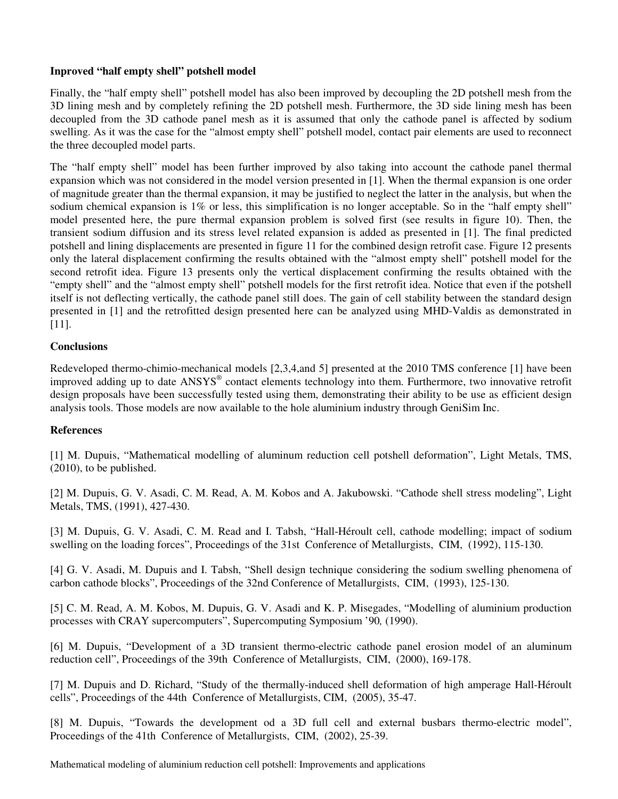#### **Inproved "half empty shell" potshell model**

Finally, the "half empty shell" potshell model has also been improved by decoupling the 2D potshell mesh from the 3D lining mesh and by completely refining the 2D potshell mesh. Furthermore, the 3D side lining mesh has been decoupled from the 3D cathode panel mesh as it is assumed that only the cathode panel is affected by sodium swelling. As it was the case for the "almost empty shell" potshell model, contact pair elements are used to reconnect the three decoupled model parts.

The "half empty shell" model has been further improved by also taking into account the cathode panel thermal expansion which was not considered in the model version presented in [1]. When the thermal expansion is one order of magnitude greater than the thermal expansion, it may be justified to neglect the latter in the analysis, but when the sodium chemical expansion is 1% or less, this simplification is no longer acceptable. So in the "half empty shell" model presented here, the pure thermal expansion problem is solved first (see results in figure 10). Then, the transient sodium diffusion and its stress level related expansion is added as presented in [1]. The final predicted potshell and lining displacements are presented in figure 11 for the combined design retrofit case. Figure 12 presents only the lateral displacement confirming the results obtained with the "almost empty shell" potshell model for the second retrofit idea. Figure 13 presents only the vertical displacement confirming the results obtained with the "empty shell" and the "almost empty shell" potshell models for the first retrofit idea. Notice that even if the potshell itself is not deflecting vertically, the cathode panel still does. The gain of cell stability between the standard design presented in [1] and the retrofitted design presented here can be analyzed using MHD-Valdis as demonstrated in [11].

## **Conclusions**

Redeveloped thermo-chimio-mechanical models [2,3,4,and 5] presented at the 2010 TMS conference [1] have been improved adding up to date ANSYS® contact elements technology into them. Furthermore, two innovative retrofit design proposals have been successfully tested using them, demonstrating their ability to be use as efficient design analysis tools. Those models are now available to the hole aluminium industry through GeniSim Inc.

#### **References**

[1] M. Dupuis, "Mathematical modelling of aluminum reduction cell potshell deformation", Light Metals, TMS, (2010), to be published.

[2] M. Dupuis, G. V. Asadi, C. M. Read, A. M. Kobos and A. Jakubowski. "Cathode shell stress modeling", Light Metals, TMS, (1991), 427-430.

[3] M. Dupuis, G. V. Asadi, C. M. Read and I. Tabsh, "Hall-Héroult cell, cathode modelling; impact of sodium swelling on the loading forces", Proceedings of the 31st Conference of Metallurgists, CIM, (1992), 115-130.

[4] G. V. Asadi, M. Dupuis and I. Tabsh, "Shell design technique considering the sodium swelling phenomena of carbon cathode blocks", Proceedings of the 32nd Conference of Metallurgists, CIM, (1993), 125-130.

[5] C. M. Read, A. M. Kobos, M. Dupuis, G. V. Asadi and K. P. Misegades, "Modelling of aluminium production processes with CRAY supercomputers", Supercomputing Symposium '90*,* (1990).

[6] M. Dupuis, "Development of a 3D transient thermo-electric cathode panel erosion model of an aluminum reduction cell", Proceedings of the 39th Conference of Metallurgists, CIM, (2000), 169-178.

[7] M. Dupuis and D. Richard, "Study of the thermally-induced shell deformation of high amperage Hall-Héroult cells", Proceedings of the 44th Conference of Metallurgists, CIM, (2005), 35-47.

[8] M. Dupuis, "Towards the development od a 3D full cell and external busbars thermo-electric model", Proceedings of the 41th Conference of Metallurgists, CIM, (2002), 25-39.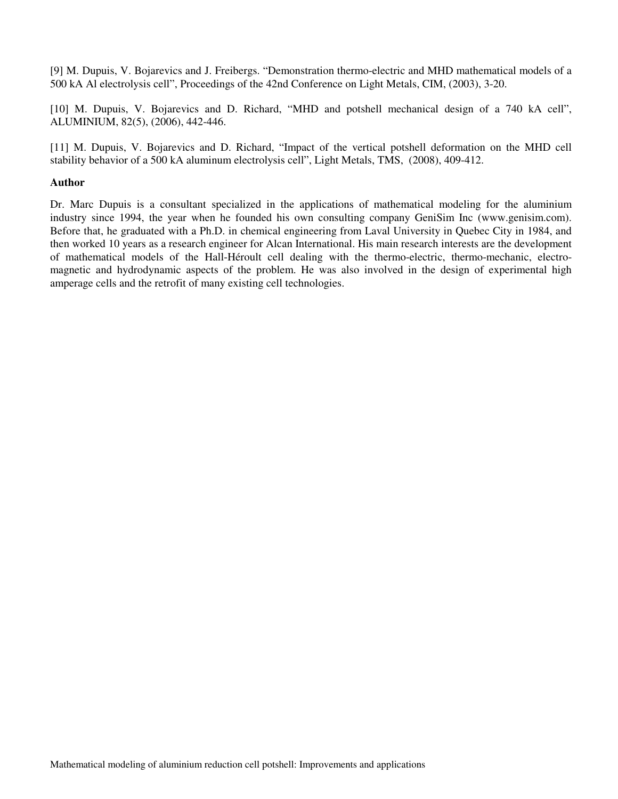[9] M. Dupuis, V. Bojarevics and J. Freibergs. "Demonstration thermo-electric and MHD mathematical models of a 500 kA Al electrolysis cell", Proceedings of the 42nd Conference on Light Metals, CIM, (2003), 3-20.

[10] M. Dupuis, V. Bojarevics and D. Richard, "MHD and potshell mechanical design of a 740 kA cell", ALUMINIUM, 82(5), (2006), 442-446.

[11] M. Dupuis, V. Bojarevics and D. Richard, "Impact of the vertical potshell deformation on the MHD cell stability behavior of a 500 kA aluminum electrolysis cell", Light Metals, TMS, (2008), 409-412.

#### **Author**

Dr. Marc Dupuis is a consultant specialized in the applications of mathematical modeling for the aluminium industry since 1994, the year when he founded his own consulting company GeniSim Inc (www.genisim.com). Before that, he graduated with a Ph.D. in chemical engineering from Laval University in Quebec City in 1984, and then worked 10 years as a research engineer for Alcan International. His main research interests are the development of mathematical models of the Hall-Héroult cell dealing with the thermo-electric, thermo-mechanic, electromagnetic and hydrodynamic aspects of the problem. He was also involved in the design of experimental high amperage cells and the retrofit of many existing cell technologies.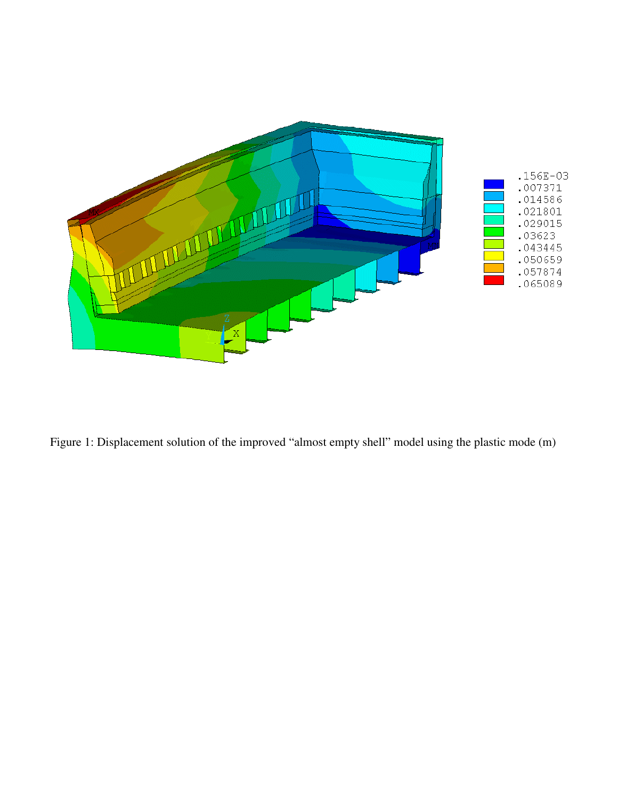

Figure 1: Displacement solution of the improved "almost empty shell" model using the plastic mode (m)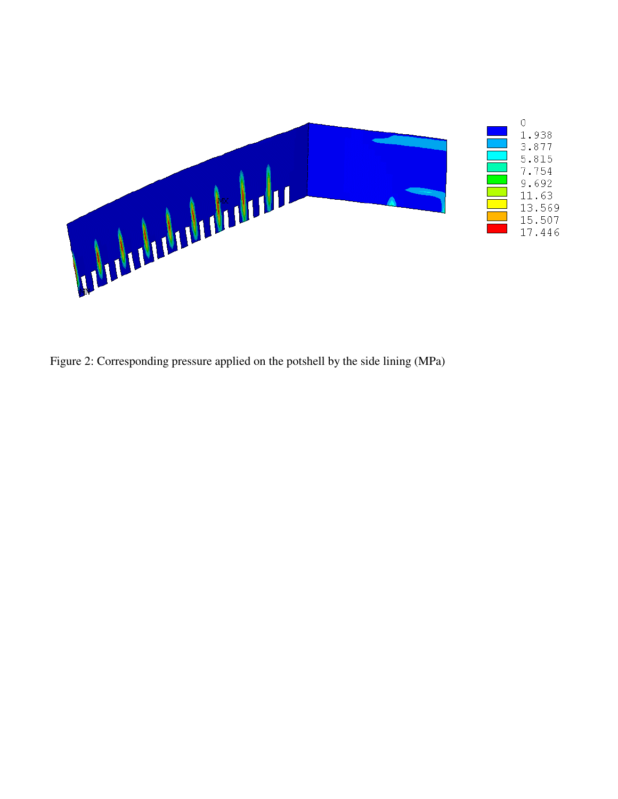

Figure 2: Corresponding pressure applied on the potshell by the side lining (MPa)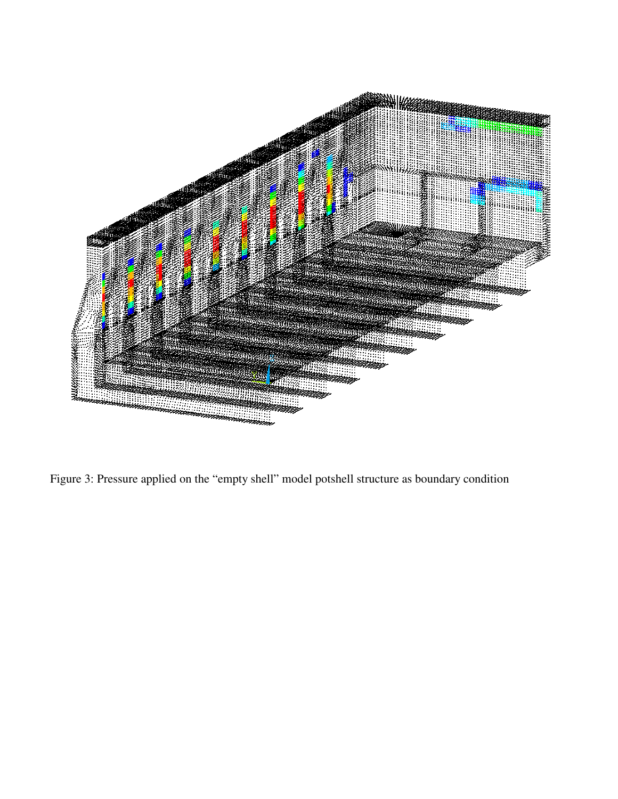

Figure 3: Pressure applied on the "empty shell" model potshell structure as boundary condition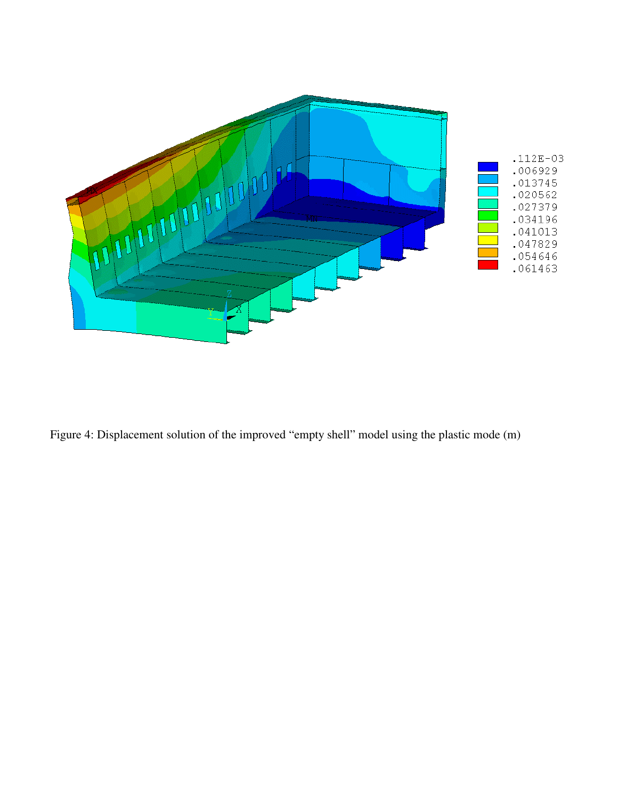

Figure 4: Displacement solution of the improved "empty shell" model using the plastic mode (m)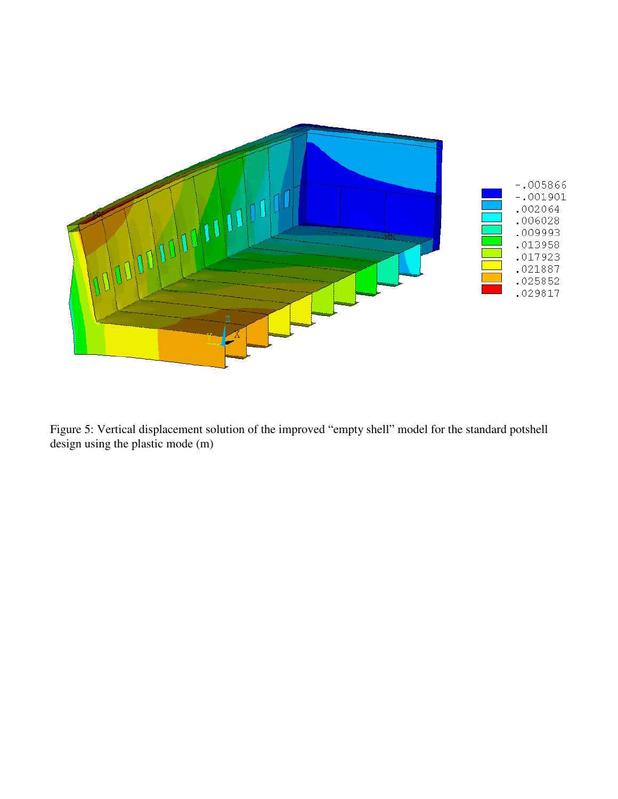

Figure 5: Vertical displacement solution of the improved "empty shell" model for the standard potshell design using the plastic mode (m)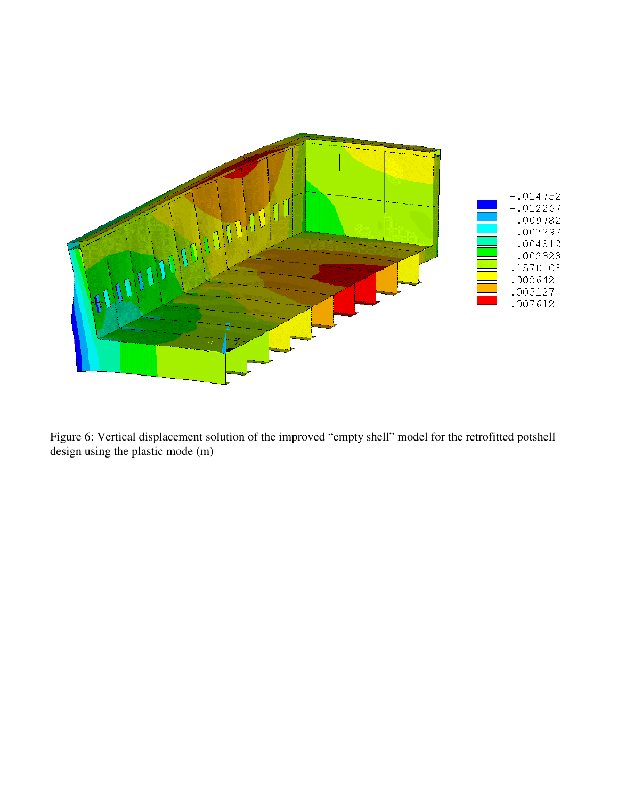

Figure 6: Vertical displacement solution of the improved "empty shell" model for the retrofitted potshell design using the plastic mode (m)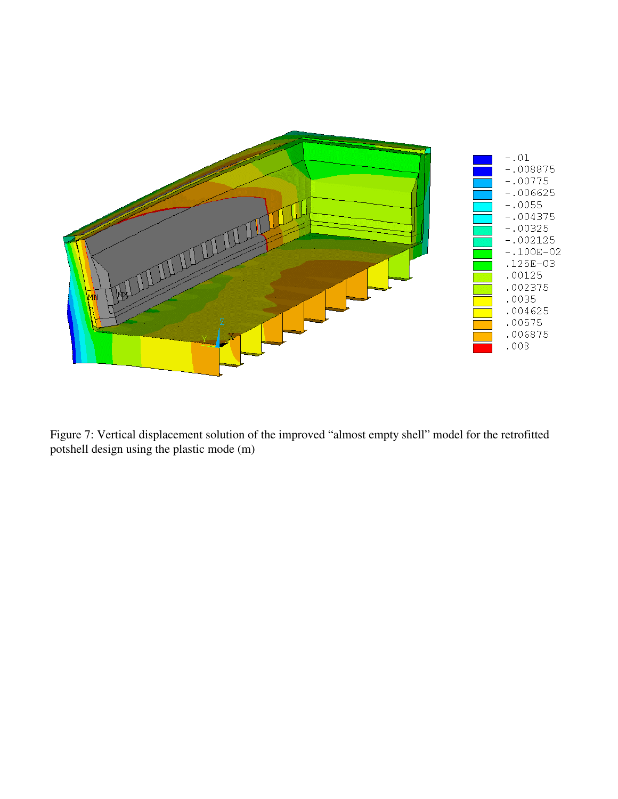

Figure 7: Vertical displacement solution of the improved "almost empty shell" model for the retrofitted potshell design using the plastic mode  $(m)$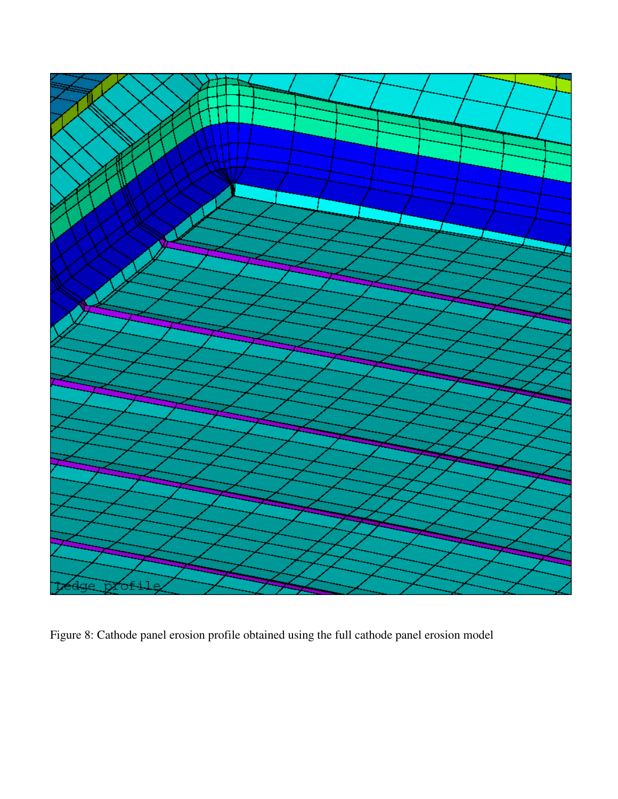

Figure 8: Cathode panel erosion profile obtained using the full cathode panel erosion model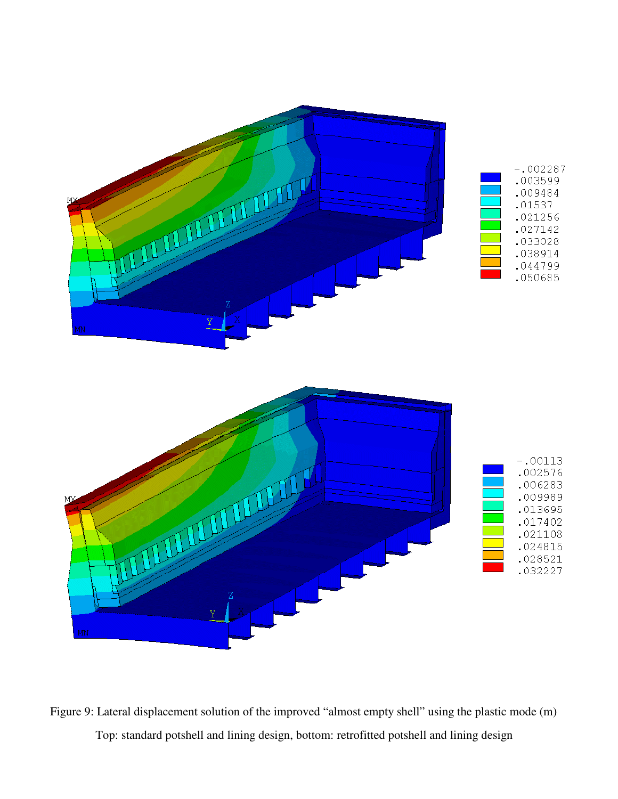

Figure 9: Lateral displacement solution of the improved "almost empty shell" using the plastic mode (m) Top: standard potshell and lining design, bottom: retrofitted potshell and lining design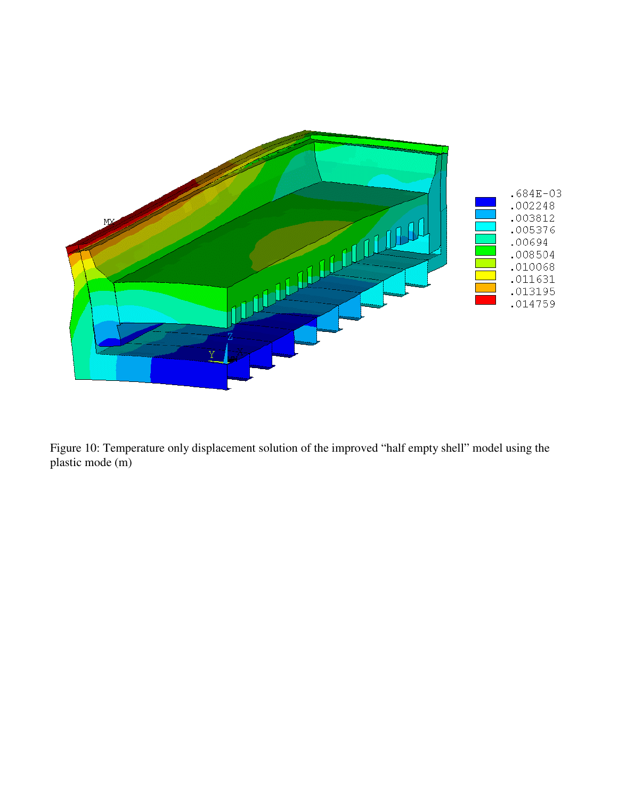

Figure 10: Temperature only displacement solution of the improved "half empty shell" model using the plastic mode (m)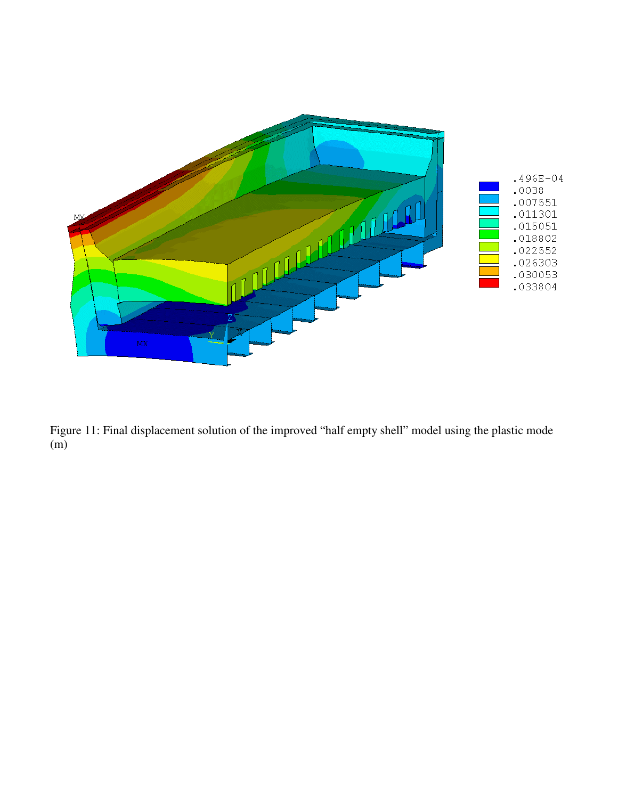

Figure 11: Final displacement solution of the improved "half empty shell" model using the plastic mode (m)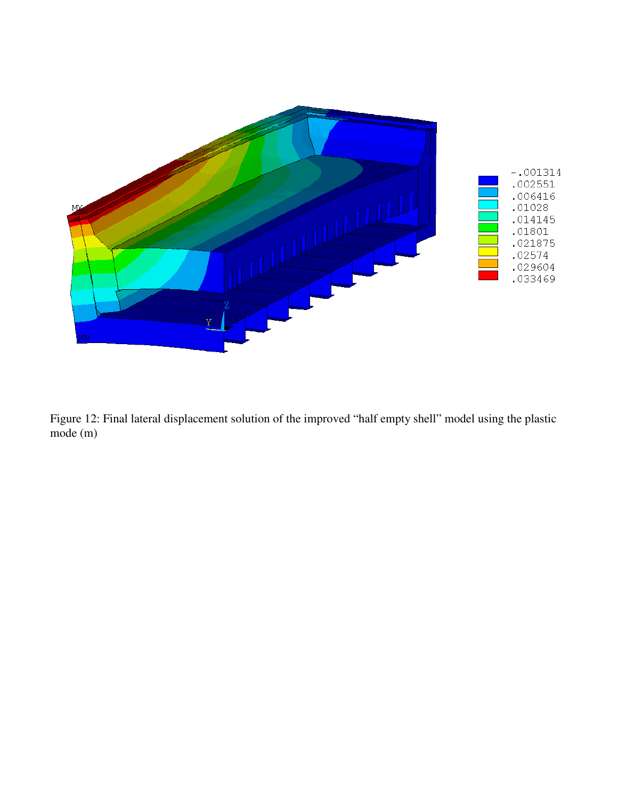

Figure 12: Final lateral displacement solution of the improved "half empty shell" model using the plastic mode (m)